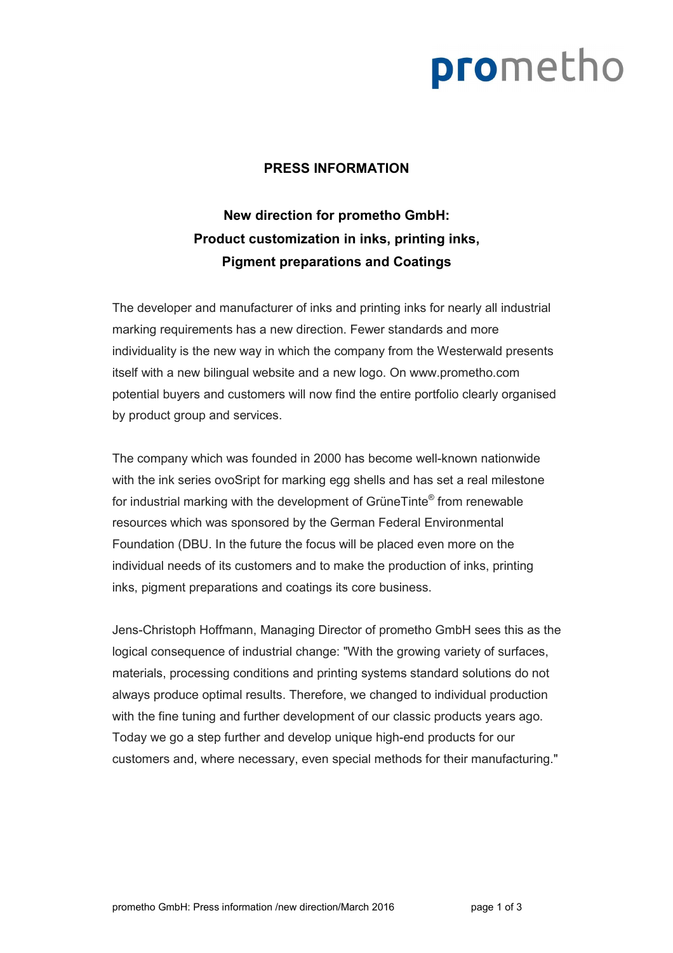### prometho

### **PRESS INFORMATION**

### **New direction for prometho GmbH: Product customization in inks, printing inks, Pigment preparations and Coatings**

The developer and manufacturer of inks and printing inks for nearly all industrial marking requirements has a new direction. Fewer standards and more individuality is the new way in which the company from the Westerwald presents itself with a new bilingual website and a new logo. On www.prometho.com potential buyers and customers will now find the entire portfolio clearly organised by product group and services.

The company which was founded in 2000 has become well-known nationwide with the ink series ovoSript for marking egg shells and has set a real milestone for industrial marking with the development of GrüneTinte® from renewable resources which was sponsored by the German Federal Environmental Foundation (DBU. In the future the focus will be placed even more on the individual needs of its customers and to make the production of inks, printing inks, pigment preparations and coatings its core business.

Jens-Christoph Hoffmann, Managing Director of prometho GmbH sees this as the logical consequence of industrial change: "With the growing variety of surfaces, materials, processing conditions and printing systems standard solutions do not always produce optimal results. Therefore, we changed to individual production with the fine tuning and further development of our classic products years ago. Today we go a step further and develop unique high-end products for our customers and, where necessary, even special methods for their manufacturing."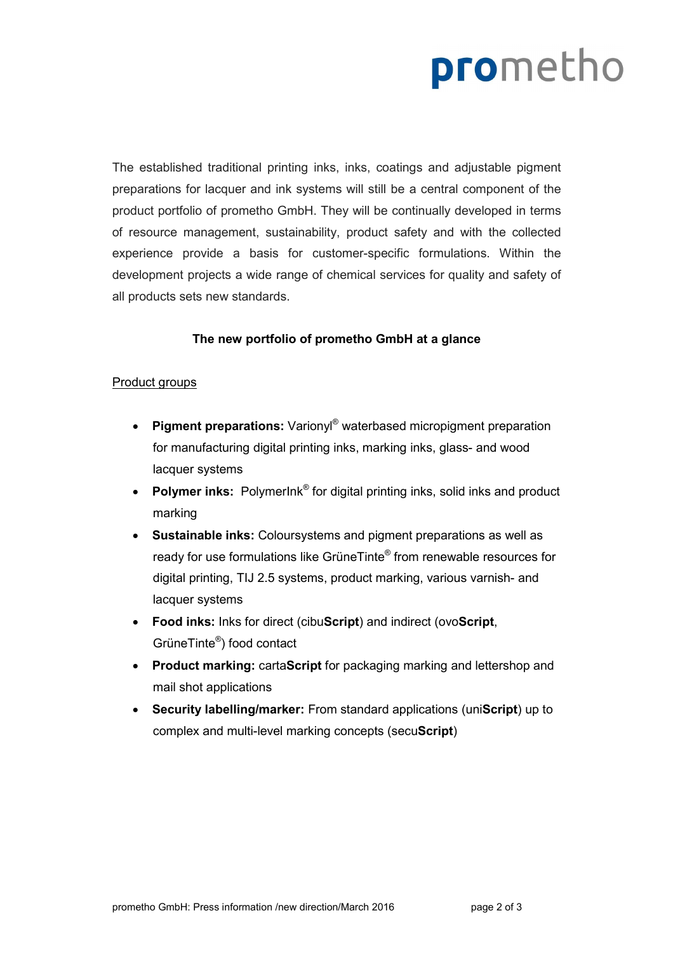## prometho

The established traditional printing inks, inks, coatings and adjustable pigment preparations for lacquer and ink systems will still be a central component of the product portfolio of prometho GmbH. They will be continually developed in terms of resource management, sustainability, product safety and with the collected experience provide a basis for customer-specific formulations. Within the development projects a wide range of chemical services for quality and safety of all products sets new standards.

#### **The new portfolio of prometho GmbH at a glance**

#### Product groups

- **Pigment preparations:** Varionyl<sup>®</sup> waterbased micropigment preparation for manufacturing digital printing inks, marking inks, glass- and wood lacquer systems
- **Polymer inks:** Polymerlnk<sup>®</sup> for digital printing inks, solid inks and product marking
- **Sustainable inks:** Coloursystems and pigment preparations as well as ready for use formulations like GrüneTinte® from renewable resources for digital printing, TIJ 2.5 systems, product marking, various varnish- and lacquer systems
- **Food inks:** Inks for direct (cibu**Script**) and indirect (ovo**Script**, GrüneTinte® ) food contact
- **Product marking:** carta**Script** for packaging marking and lettershop and mail shot applications
- **Security labelling/marker:** From standard applications (uni**Script**) up to complex and multi-level marking concepts (secu**Script**)